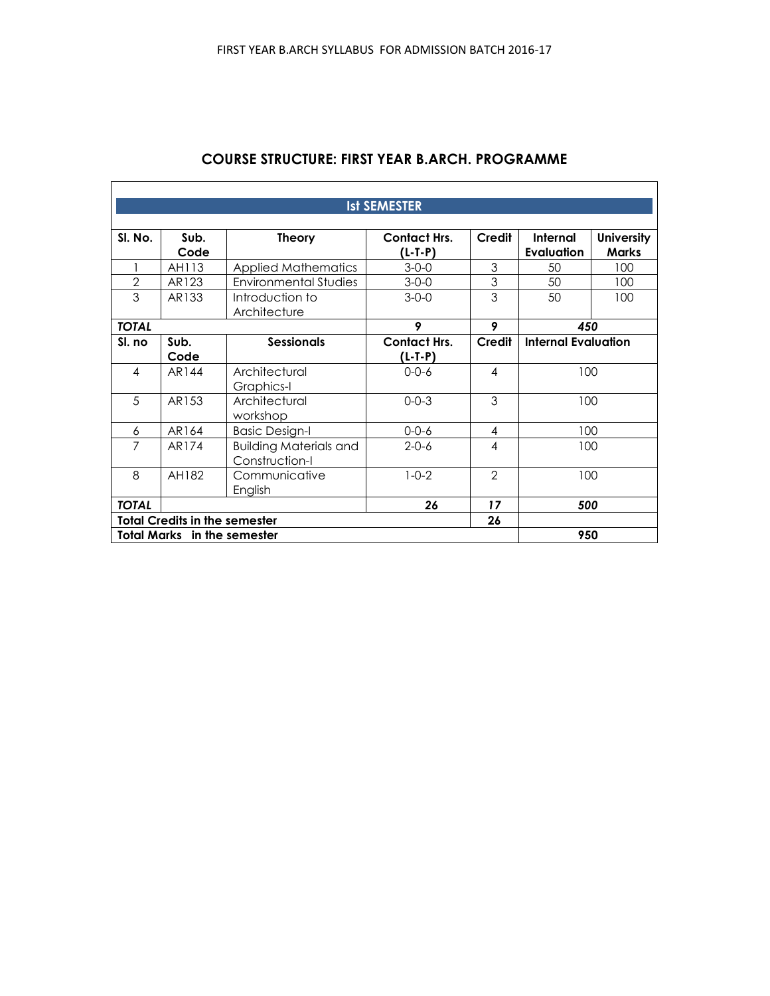# **COURSE STRUCTURE: FIRST YEAR B.ARCH. PROGRAMME**

 $\overline{\Gamma}$ 

 $\overline{\phantom{a}}$ 

| <b>Ist SEMESTER</b> |                                           |                                                 |                                |                |                               |                                   |
|---------------------|-------------------------------------------|-------------------------------------------------|--------------------------------|----------------|-------------------------------|-----------------------------------|
| SI. No.             | Sub.<br>Code                              | <b>Theory</b>                                   | <b>Contact Hrs.</b><br>(L-T-P) | Credit         | Internal<br><b>Evaluation</b> | <b>University</b><br><b>Marks</b> |
|                     | AH113                                     | <b>Applied Mathematics</b>                      | $3 - 0 - 0$                    | 3              | 50                            | 100                               |
| $\overline{2}$      | AR123                                     | <b>Environmental Studies</b>                    | $3 - 0 - 0$                    | 3              | 50                            | 100                               |
| 3                   | AR133                                     | Introduction to<br>Architecture                 | $3 - 0 - 0$                    | 3              | 50                            | 100                               |
| <b>TOTAL</b>        |                                           |                                                 | 9                              | 9              | 450                           |                                   |
| SI. no              | Sub.<br>Code                              | <b>Sessionals</b>                               | <b>Contact Hrs.</b><br>(L-T-P) | Credit         | <b>Internal Evaluation</b>    |                                   |
| $\overline{4}$      | AR144                                     | Architectural<br>Graphics-I                     | $0 - 0 - 6$                    | $\overline{4}$ | 100                           |                                   |
| 5                   | AR153                                     | Architectural<br>workshop                       | $0 - 0 - 3$                    | 3              | 100                           |                                   |
| 6                   | AR164                                     | <b>Basic Design-I</b>                           | $0 - 0 - 6$                    | 4              | 100                           |                                   |
| 7                   | AR174                                     | <b>Building Materials and</b><br>Construction-I | $2 - 0 - 6$                    | $\overline{4}$ | 100                           |                                   |
| 8                   | AH182                                     | Communicative<br>English                        | $1 - 0 - 2$                    | $\mathfrak{D}$ | 100                           |                                   |
| <b>TOTAL</b>        |                                           |                                                 | 26                             | 17             | 500                           |                                   |
|                     | <b>Total Credits in the semester</b>      |                                                 |                                | 26             |                               |                                   |
|                     | <b>Total Marks</b> in the semester<br>950 |                                                 |                                |                |                               |                                   |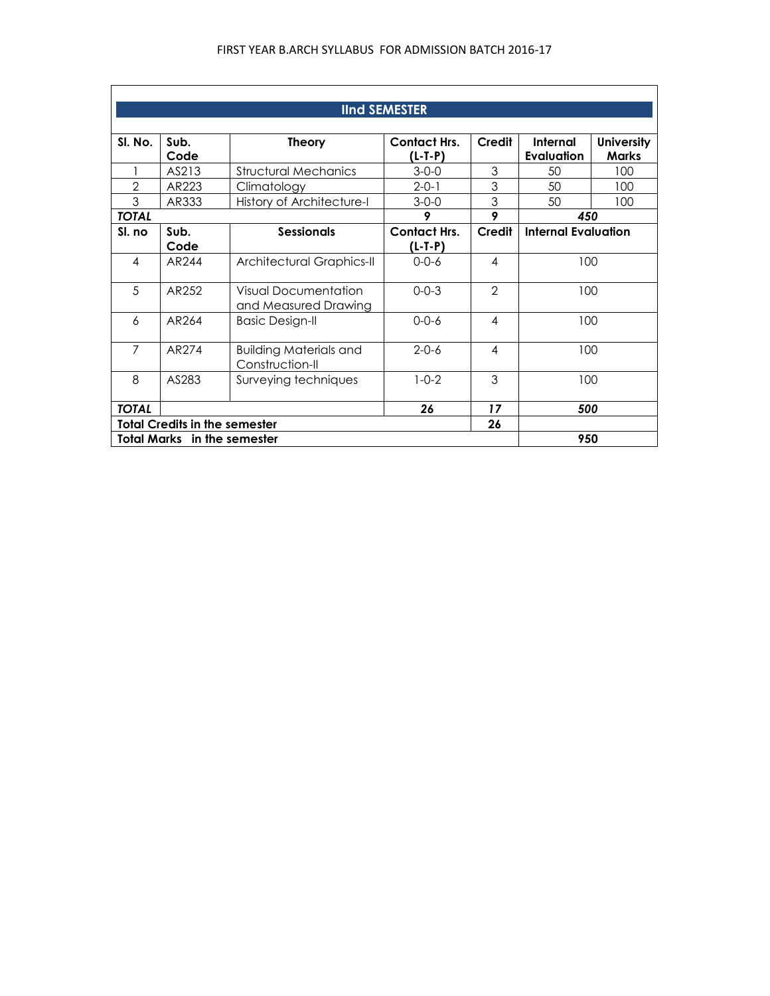|                | <b>IInd SEMESTER</b> |                                                     |                                  |                          |                            |                                   |  |
|----------------|----------------------|-----------------------------------------------------|----------------------------------|--------------------------|----------------------------|-----------------------------------|--|
| SI. No.        | Sub.<br>Code         | <b>Theory</b>                                       | <b>Contact Hrs.</b><br>$(L-T-P)$ | Credit                   | Internal<br>Evaluation     | <b>University</b><br><b>Marks</b> |  |
|                | AS213                | <b>Structural Mechanics</b>                         | $3 - 0 - 0$                      | 3                        | 50                         | 100                               |  |
| 2              | AR223                | Climatology                                         | $2 - 0 - 1$                      | 3                        | 50                         | 100                               |  |
| 3              | AR333                | History of Architecture-I                           | $3 - 0 - 0$                      | 3                        | 50                         | 100                               |  |
| <b>TOTAL</b>   |                      |                                                     | 9                                | 9                        | 450                        |                                   |  |
| SI. no         | Sub.                 | <b>Sessionals</b>                                   | <b>Contact Hrs.</b>              | Credit                   | <b>Internal Evaluation</b> |                                   |  |
|                | Code                 |                                                     | $(L-T-P)$                        |                          |                            |                                   |  |
| $\overline{4}$ | AR <sub>244</sub>    | Architectural Graphics-II                           | $0 - 0 - 6$                      | 4                        | 100                        |                                   |  |
| 5              | AR252                | <b>Visual Documentation</b><br>and Measured Drawing | $0 - 0 - 3$                      | $\overline{2}$           | 100                        |                                   |  |
| 6              | AR <sub>264</sub>    | <b>Basic Design-II</b>                              | $0 - 0 - 6$                      | $\overline{\mathcal{A}}$ | 100                        |                                   |  |
| $\overline{7}$ | AR274                | <b>Building Materials and</b><br>Construction-II    | $2 - 0 - 6$                      | $\overline{\mathcal{A}}$ | 100                        |                                   |  |
| 8              | AS283                | Surveying techniques                                | $1 - 0 - 2$                      | 3                        | 100                        |                                   |  |
| <b>TOTAL</b>   |                      |                                                     | 26                               | 17                       | 500                        |                                   |  |
|                |                      | <b>Total Credits in the semester</b>                |                                  | 26                       |                            |                                   |  |
|                |                      | <b>Total Marks</b> in the semester                  |                                  |                          | 950                        |                                   |  |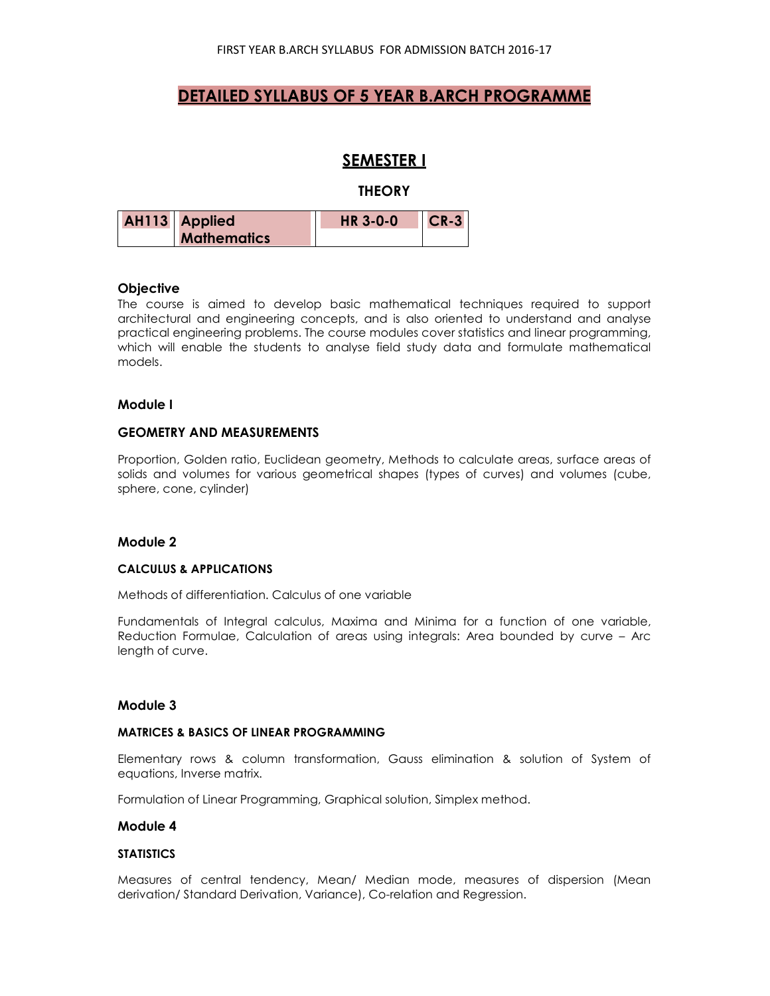# **DETAILED SYLLABUS OF 5 YEAR B.ARCH PROGRAMME**

# **SEMESTER I**

### **THEORY**

| <b>AH113</b> Applied | <b>HR 3-0-0</b> | $ICR-3$ |
|----------------------|-----------------|---------|
| <b>Mathematics</b>   |                 |         |

## **Objective**

The course is aimed to develop basic mathematical techniques required to support architectural and engineering concepts, and is also oriented to understand and analyse practical engineering problems. The course modules cover statistics and linear programming, which will enable the students to analyse field study data and formulate mathematical models.

### **Module I**

## **GEOMETRY AND MEASUREMENTS**

Proportion, Golden ratio, Euclidean geometry, Methods to calculate areas, surface areas of solids and volumes for various geometrical shapes (types of curves) and volumes (cube, sphere, cone, cylinder)

### **Module 2**

#### **CALCULUS & APPLICATIONS**

Methods of differentiation. Calculus of one variable

Fundamentals of Integral calculus, Maxima and Minima for a function of one variable, Reduction Formulae, Calculation of areas using integrals: Area bounded by curve – Arc length of curve.

### **Module 3**

### **MATRICES & BASICS OF LINEAR PROGRAMMING**

Elementary rows & column transformation, Gauss elimination & solution of System of equations, Inverse matrix.

Formulation of Linear Programming, Graphical solution, Simplex method.

#### **Module 4**

#### **STATISTICS**

Measures of central tendency, Mean/ Median mode, measures of dispersion (Mean derivation/ Standard Derivation, Variance), Co-relation and Regression.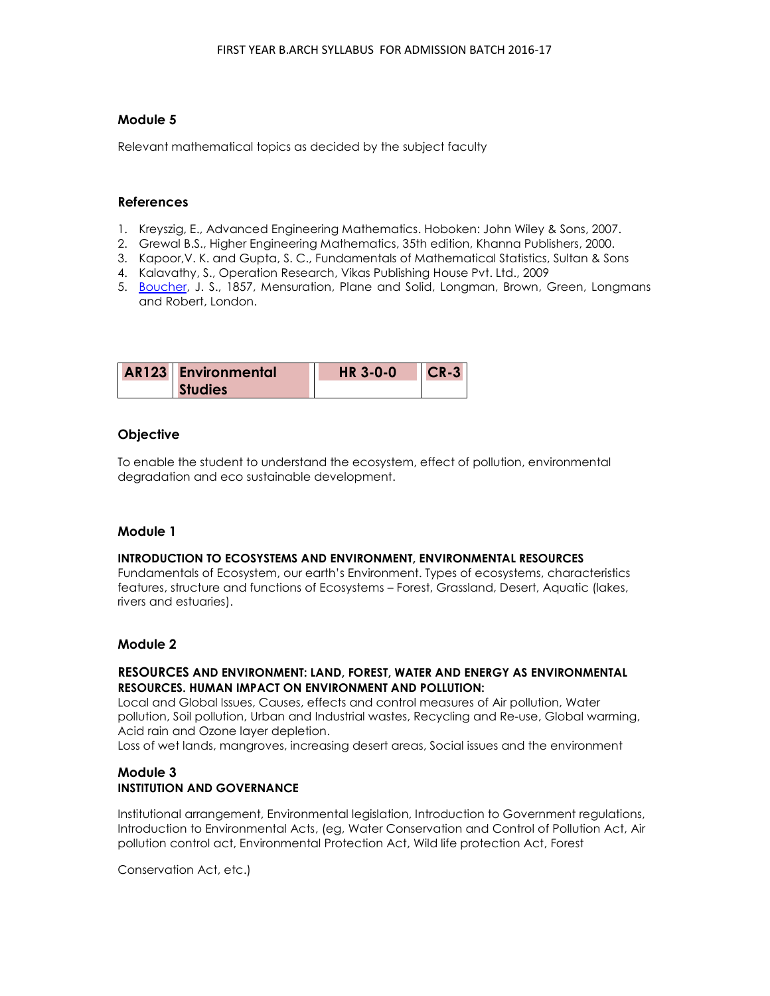## **Module 5**

Relevant mathematical topics as decided by the subject faculty

### **References**

- 1. Kreyszig, E., Advanced Engineering Mathematics. Hoboken: John Wiley & Sons, 2007.
- 2. Grewal B.S., Higher Engineering Mathematics, 35th edition, Khanna Publishers, 2000.
- 3. Kapoor,V. K. and Gupta, S. C., Fundamentals of Mathematical Statistics, Sultan & Sons
- 4. Kalavathy, S., Operation Research, Vikas Publishing House Pvt. Ltd., 2009
- 5. Boucher, J. S., 1857, Mensuration, Plane and Solid, Longman, Brown, Green, Longmans and Robert, London.

| <b>AR123</b> Environmental | <b>HR 3-0-0</b> | $ICR-3$ |
|----------------------------|-----------------|---------|
| <b>Studies</b>             |                 |         |

## **Objective**

To enable the student to understand the ecosystem, effect of pollution, environmental degradation and eco sustainable development.

### **Module 1**

#### **INTRODUCTION TO ECOSYSTEMS AND ENVIRONMENT, ENVIRONMENTAL RESOURCES**

Fundamentals of Ecosystem, our earth's Environment. Types of ecosystems, characteristics features, structure and functions of Ecosystems – Forest, Grassland, Desert, Aquatic (lakes, rivers and estuaries).

### **Module 2**

### **RESOURCES AND ENVIRONMENT: LAND, FOREST, WATER AND ENERGY AS ENVIRONMENTAL RESOURCES. HUMAN IMPACT ON ENVIRONMENT AND POLLUTION:**

Local and Global Issues, Causes, effects and control measures of Air pollution, Water pollution, Soil pollution, Urban and Industrial wastes, Recycling and Re-use, Global warming, Acid rain and Ozone layer depletion.

Loss of wet lands, mangroves, increasing desert areas, Social issues and the environment

## **Module 3 INSTITUTION AND GOVERNANCE**

Institutional arrangement, Environmental legislation, Introduction to Government regulations, Introduction to Environmental Acts, (eg, Water Conservation and Control of Pollution Act, Air pollution control act, Environmental Protection Act, Wild life protection Act, Forest

Conservation Act, etc.)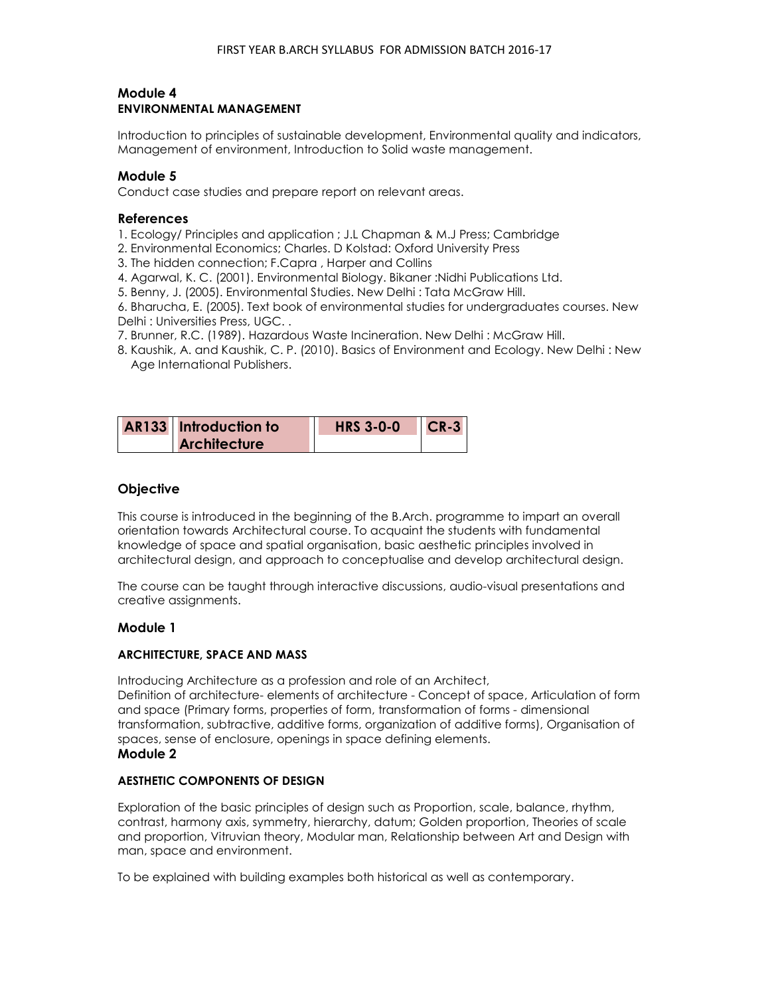## **Module 4 ENVIRONMENTAL MANAGEMENT**

Introduction to principles of sustainable development, Environmental quality and indicators, Management of environment, Introduction to Solid waste management.

## **Module 5**

Conduct case studies and prepare report on relevant areas.

### **References**

- 1. Ecology/ Principles and application ; J.L Chapman & M.J Press; Cambridge
- 2. Environmental Economics; Charles. D Kolstad: Oxford University Press
- 3. The hidden connection; F.Capra , Harper and Collins
- 4. Agarwal, K. C. (2001). Environmental Biology. Bikaner :Nidhi Publications Ltd.
- 5. Benny, J. (2005). Environmental Studies. New Delhi : Tata McGraw Hill.

6. Bharucha, E. (2005). Text book of environmental studies for undergraduates courses. New Delhi : Universities Press, UGC. .

- 7. Brunner, R.C. (1989). Hazardous Waste Incineration. New Delhi : McGraw Hill.
- 8. Kaushik, A. and Kaushik, C. P. (2010). Basics of Environment and Ecology. New Delhi : New Age International Publishers.

| AR133 Introduction to | <b>HRS 3-0-0</b> | $ICR-3$ |
|-----------------------|------------------|---------|
| <b>Architecture</b>   |                  |         |

## **Objective**

This course is introduced in the beginning of the B.Arch. programme to impart an overall orientation towards Architectural course. To acquaint the students with fundamental knowledge of space and spatial organisation, basic aesthetic principles involved in architectural design, and approach to conceptualise and develop architectural design.

The course can be taught through interactive discussions, audio-visual presentations and creative assignments.

### **Module 1**

### **ARCHITECTURE, SPACE AND MASS**

Introducing Architecture as a profession and role of an Architect, Definition of architecture- elements of architecture - Concept of space, Articulation of form and space (Primary forms, properties of form, transformation of forms - dimensional transformation, subtractive, additive forms, organization of additive forms), Organisation of spaces, sense of enclosure, openings in space defining elements. **Module 2** 

## **AESTHETIC COMPONENTS OF DESIGN**

Exploration of the basic principles of design such as Proportion, scale, balance, rhythm, contrast, harmony axis, symmetry, hierarchy, datum; Golden proportion, Theories of scale and proportion, Vitruvian theory, Modular man, Relationship between Art and Design with man, space and environment.

To be explained with building examples both historical as well as contemporary.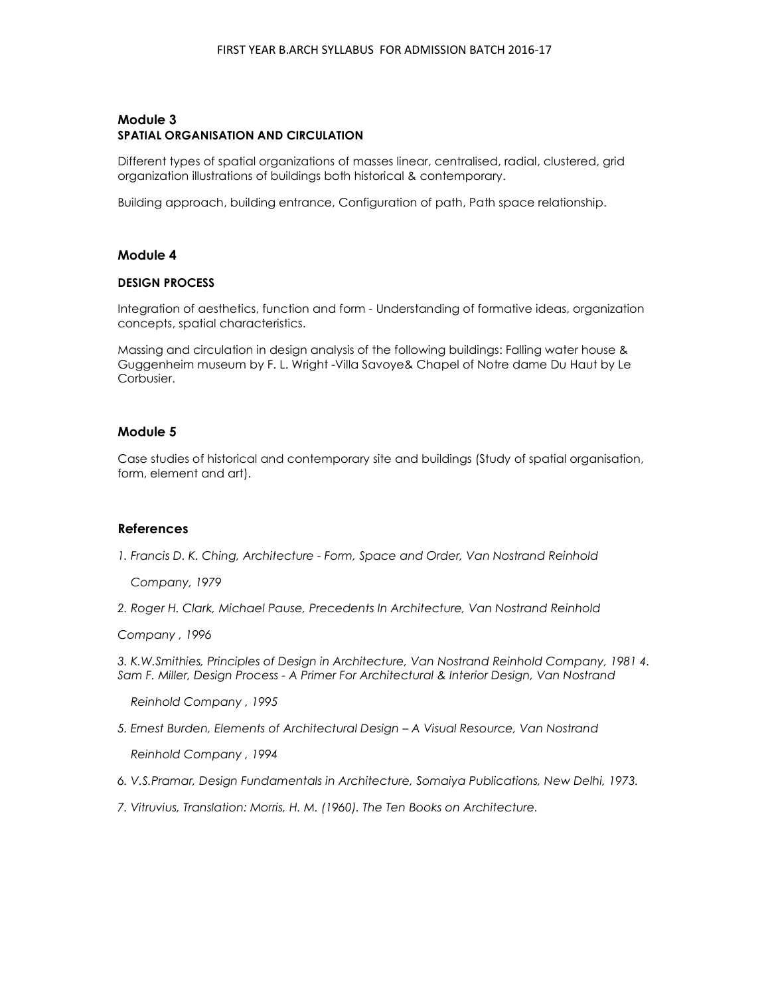## **Module 3 SPATIAL ORGANISATION AND CIRCULATION**

Different types of spatial organizations of masses linear, centralised, radial, clustered, grid organization illustrations of buildings both historical & contemporary.

Building approach, building entrance, Configuration of path, Path space relationship.

## **Module 4**

### **DESIGN PROCESS**

Integration of aesthetics, function and form - Understanding of formative ideas, organization concepts, spatial characteristics.

Massing and circulation in design analysis of the following buildings: Falling water house & Guggenheim museum by F. L. Wright -Villa Savoye& Chapel of Notre dame Du Haut by Le Corbusier.

## **Module 5**

Case studies of historical and contemporary site and buildings (Study of spatial organisation, form, element and art).

## **References**

*1. Francis D. K. Ching, Architecture - Form, Space and Order, Van Nostrand Reinhold* 

 *Company, 1979* 

2. Roger H. Clark, Michael Pause, Precedents In Architecture, Van Nostrand Reinhold

*Company , 1996* 

*3. K.W.Smithies, Principles of Design in Architecture, Van Nostrand Reinhold Company, 1981 4. Sam F. Miller, Design Process - A Primer For Architectural & Interior Design, Van Nostrand* 

 *Reinhold Company , 1995* 

*5. Ernest Burden, Elements of Architectural Design – A Visual Resource, Van Nostrand* 

 *Reinhold Company , 1994* 

- *6. V.S.Pramar, Design Fundamentals in Architecture, Somaiya Publications, New Delhi, 1973.*
- *7. Vitruvius, Translation: Morris, H. M. (1960). The Ten Books on Architecture.*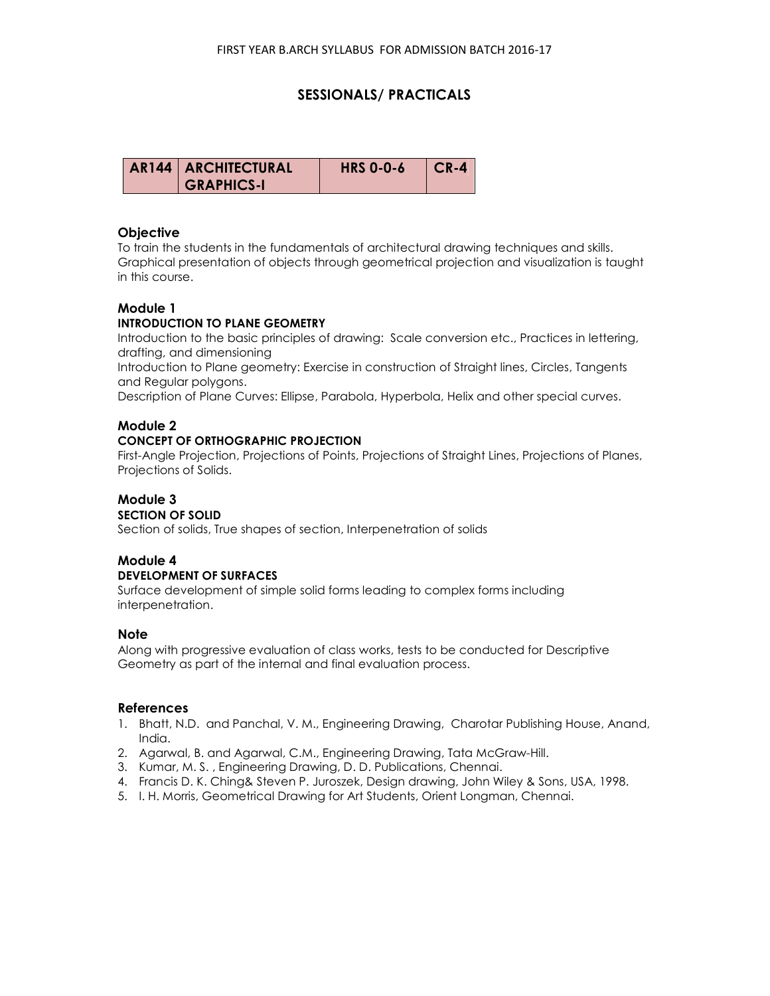## **SESSIONALS/ PRACTICALS**

| AR144   ARCHITECTURAL | <b>HRS 0-0-6</b> | CR-4 |
|-----------------------|------------------|------|
| <b>GRAPHICS-I</b>     |                  |      |

### **Objective**

To train the students in the fundamentals of architectural drawing techniques and skills. Graphical presentation of objects through geometrical projection and visualization is taught in this course.

## **Module 1**

### **INTRODUCTION TO PLANE GEOMETRY**

Introduction to the basic principles of drawing: Scale conversion etc., Practices in lettering, drafting, and dimensioning

Introduction to Plane geometry: Exercise in construction of Straight lines, Circles, Tangents and Regular polygons.

Description of Plane Curves: Ellipse, Parabola, Hyperbola, Helix and other special curves.

### **Module 2**

### **CONCEPT OF ORTHOGRAPHIC PROJECTION**

First-Angle Projection, Projections of Points, Projections of Straight Lines, Projections of Planes, Projections of Solids.

#### **Module 3 SECTION OF SOLID**

Section of solids, True shapes of section, Interpenetration of solids

# **Module 4**

### **DEVELOPMENT OF SURFACES**

Surface development of simple solid forms leading to complex forms including interpenetration.

### **Note**

Along with progressive evaluation of class works, tests to be conducted for Descriptive Geometry as part of the internal and final evaluation process.

### **References**

- 1. Bhatt, N.D. and Panchal, V. M., Engineering Drawing, Charotar Publishing House, Anand, India.
- 2. Agarwal, B. and Agarwal, C.M., Engineering Drawing, Tata McGraw-Hill.
- 3. Kumar, M. S. , Engineering Drawing, D. D. Publications, Chennai.
- 4. Francis D. K. Ching& Steven P. Juroszek, Design drawing, John Wiley & Sons, USA, 1998.
- 5. I. H. Morris, Geometrical Drawing for Art Students, Orient Longman, Chennai.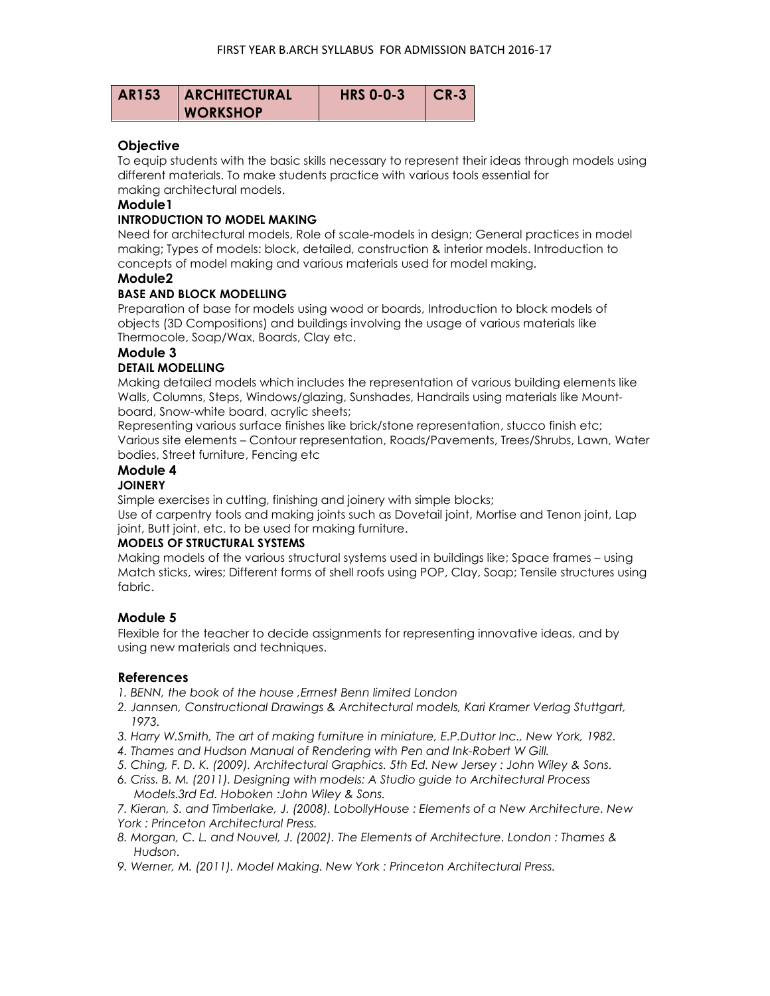| <b>AR153</b> | <b>ARCHITECTURAL</b> | <b>HRS 0-0-3</b> | CR-3 |
|--------------|----------------------|------------------|------|
|              | <b>WORKSHOP</b>      |                  |      |

## **Objective**

To equip students with the basic skills necessary to represent their ideas through models using different materials. To make students practice with various tools essential for making architectural models.

## **Module1**

### **INTRODUCTION TO MODEL MAKING**

Need for architectural models, Role of scale-models in design; General practices in model making; Types of models: block, detailed, construction & interior models. Introduction to concepts of model making and various materials used for model making.

## **Module2**

## **BASE AND BLOCK MODELLING**

Preparation of base for models using wood or boards, Introduction to block models of objects (3D Compositions) and buildings involving the usage of various materials like Thermocole, Soap/Wax, Boards, Clay etc.

## **Module 3**

## **DETAIL MODELLING**

Making detailed models which includes the representation of various building elements like Walls, Columns, Steps, Windows/glazing, Sunshades, Handrails using materials like Mountboard, Snow-white board, acrylic sheets;

Representing various surface finishes like brick/stone representation, stucco finish etc; Various site elements – Contour representation, Roads/Pavements, Trees/Shrubs, Lawn, Water bodies, Street furniture, Fencing etc

# **Module 4**

### **JOINERY**

Simple exercises in cutting, finishing and joinery with simple blocks;

Use of carpentry tools and making joints such as Dovetail joint, Mortise and Tenon joint, Lap joint, Butt joint, etc. to be used for making furniture.

### **MODELS OF STRUCTURAL SYSTEMS**

Making models of the various structural systems used in buildings like; Space frames – using Match sticks, wires; Different forms of shell roofs using POP, Clay, Soap; Tensile structures using fabric.

## **Module 5**

Flexible for the teacher to decide assignments for representing innovative ideas, and by using new materials and techniques.

## **References**

1. BENN, the book of the house, Errnest Benn limited London

- *2. Jannsen, Constructional Drawings & Architectural models, Kari Kramer Verlag Stuttgart, 1973.*
- *3. Harry W.Smith, The art of making furniture in miniature, E.P.Duttor Inc., New York, 1982.*
- *4. Thames and Hudson Manual of Rendering with Pen and Ink-Robert W Gill.*
- *5. Ching, F. D. K. (2009). Architectural Graphics. 5th Ed. New Jersey : John Wiley & Sons.*
- *6. Criss. B. M. (2011). Designing with models: A Studio guide to Architectural Process Models.3rd Ed. Hoboken :John Wiley & Sons.*

*7. Kieran, S. and Timberlake, J. (2008). LobollyHouse : Elements of a New Architecture. New York : Princeton Architectural Press.* 

- *8. Morgan, C. L. and Nouvel, J. (2002). The Elements of Architecture. London : Thames & Hudson.*
- *9. Werner, M. (2011). Model Making. New York : Princeton Architectural Press.*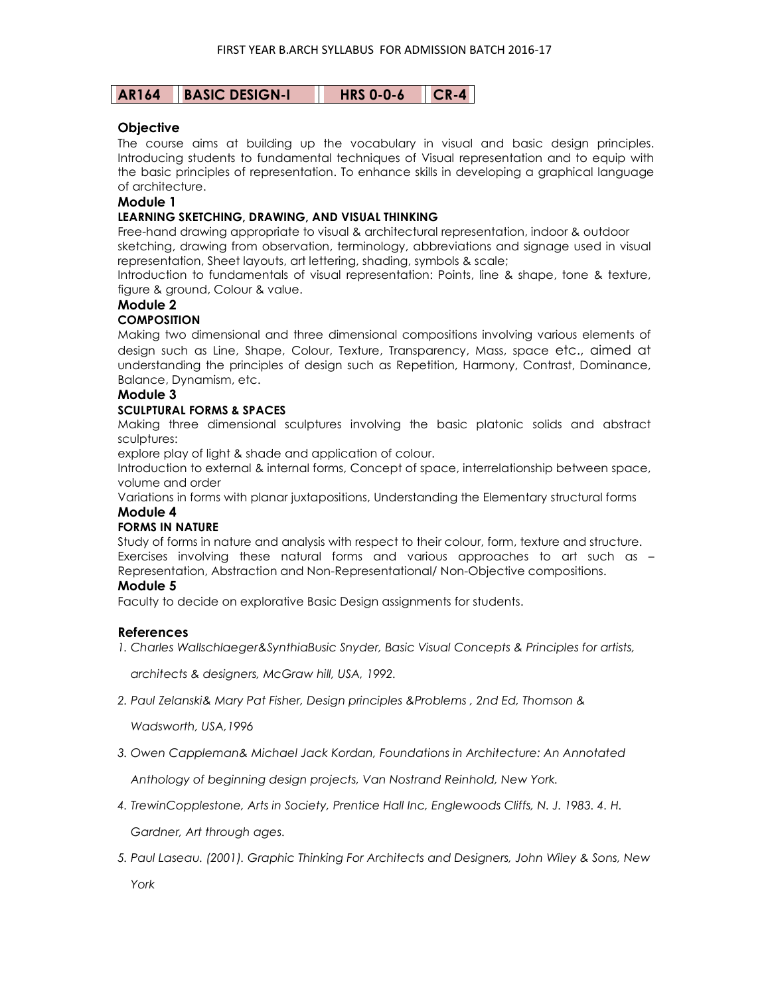| <b>AR164</b> | <b>BASIC DESIGN-I</b> |  |
|--------------|-----------------------|--|
|--------------|-----------------------|--|

**HRS 0-0-6 CR-4** 

## **Objective**

The course aims at building up the vocabulary in visual and basic design principles. Introducing students to fundamental techniques of Visual representation and to equip with the basic principles of representation. To enhance skills in developing a graphical language of architecture.

### **Module 1**

### **LEARNING SKETCHING, DRAWING, AND VISUAL THINKING**

Free-hand drawing appropriate to visual & architectural representation, indoor & outdoor sketching, drawing from observation, terminology, abbreviations and signage used in visual representation, Sheet layouts, art lettering, shading, symbols & scale;

Introduction to fundamentals of visual representation: Points, line & shape, tone & texture, figure & ground, Colour & value.

## **Module 2**

## **COMPOSITION**

Making two dimensional and three dimensional compositions involving various elements of design such as Line, Shape, Colour, Texture, Transparency, Mass, space etc., aimed at understanding the principles of design such as Repetition, Harmony, Contrast, Dominance, Balance, Dynamism, etc.

## **Module 3**

### **SCULPTURAL FORMS & SPACES**

Making three dimensional sculptures involving the basic platonic solids and abstract sculptures:

explore play of light & shade and application of colour.

Introduction to external & internal forms, Concept of space, interrelationship between space, volume and order

Variations in forms with planar juxtapositions, Understanding the Elementary structural forms **Module 4** 

### **FORMS IN NATURE**

Study of forms in nature and analysis with respect to their colour, form, texture and structure. Exercises involving these natural forms and various approaches to art such as – Representation, Abstraction and Non-Representational/ Non-Objective compositions.

### **Module 5**

Faculty to decide on explorative Basic Design assignments for students.

### **References**

*1. Charles Wallschlaeger&SynthiaBusic Snyder, Basic Visual Concepts & Principles for artists,* 

 *architects & designers, McGraw hill, USA, 1992.* 

*2. Paul Zelanski& Mary Pat Fisher, Design principles &Problems , 2nd Ed, Thomson &* 

 *Wadsworth, USA,1996* 

*3. Owen Cappleman& Michael Jack Kordan, Foundations in Architecture: An Annotated* 

 *Anthology of beginning design projects, Van Nostrand Reinhold, New York.* 

*4. TrewinCopplestone, Arts in Society, Prentice Hall Inc, Englewoods Cliffs, N. J. 1983. 4. H.* 

 *Gardner, Art through ages.* 

*5. Paul Laseau. (2001). Graphic Thinking For Architects and Designers, John Wiley & Sons, New York*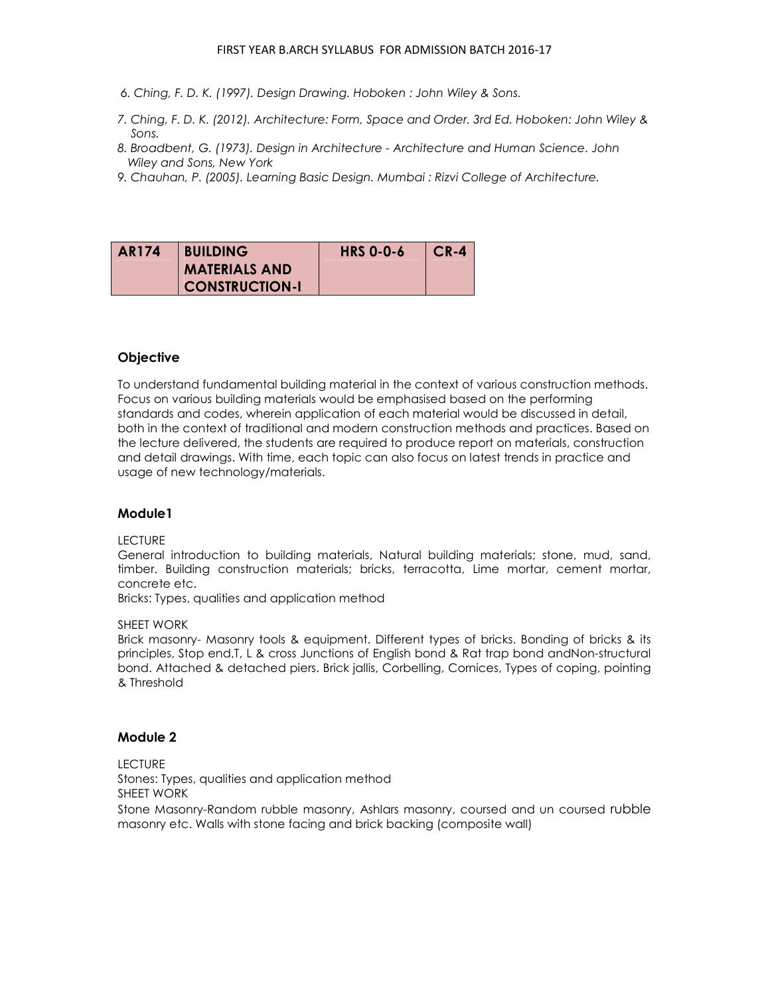- *6. Ching, F. D. K. (1997). Design Drawing. Hoboken : John Wiley & Sons.*
- *7. Ching, F. D. K. (2012). Architecture: Form, Space and Order. 3rd Ed. Hoboken: John Wiley & Sons.*
- *8. Broadbent, G. (1973). Design in Architecture Architecture and Human Science. John Wiley and Sons, New York*
- *9. Chauhan, P. (2005). Learning Basic Design. Mumbai : Rizvi College of Architecture.*

| <b>AR174</b> | <b>BUILDING</b>       | <b>HRS 0-0-6</b> | $CR-4$ |
|--------------|-----------------------|------------------|--------|
|              | <b>MATERIALS AND</b>  |                  |        |
|              | <b>CONSTRUCTION-I</b> |                  |        |

## **Objective**

To understand fundamental building material in the context of various construction methods. Focus on various building materials would be emphasised based on the performing standards and codes, wherein application of each material would be discussed in detail, both in the context of traditional and modern construction methods and practices. Based on the lecture delivered, the students are required to produce report on materials, construction and detail drawings. With time, each topic can also focus on latest trends in practice and usage of new technology/materials.

### **Module1**

### LECTURE

General introduction to building materials, Natural building materials; stone, mud, sand, timber. Building construction materials; bricks, terracotta, Lime mortar, cement mortar, concrete etc.

Bricks: Types, qualities and application method

#### SHEET WORK

Brick masonry- Masonry tools & equipment. Different types of bricks. Bonding of bricks & its principles, Stop end,T, L & cross Junctions of English bond & Rat trap bond andNon-structural bond. Attached & detached piers. Brick jallis, Corbelling, Cornices, Types of coping, pointing & Threshold

### **Module 2**

**LECTURE** 

Stones: Types, qualities and application method

SHEET WORK

Stone Masonry-Random rubble masonry, Ashlars masonry, coursed and un coursed rubble masonry etc. Walls with stone facing and brick backing (composite wall)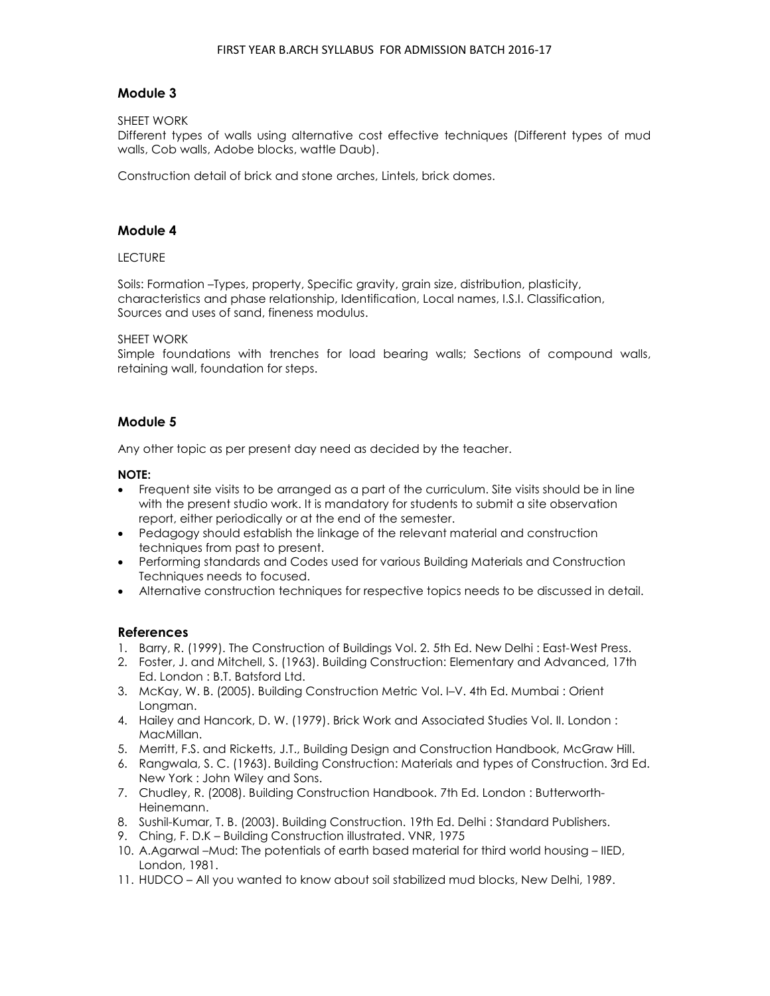## **Module 3**

### SHEET WORK

Different types of walls using alternative cost effective techniques (Different types of mud walls, Cob walls, Adobe blocks, wattle Daub).

Construction detail of brick and stone arches, Lintels, brick domes.

### **Module 4**

### LECTURE

Soils: Formation –Types, property, Specific gravity, grain size, distribution, plasticity, characteristics and phase relationship, Identification, Local names, I.S.I. Classification, Sources and uses of sand, fineness modulus.

### SHEET WORK

Simple foundations with trenches for load bearing walls; Sections of compound walls, retaining wall, foundation for steps.

## **Module 5**

Any other topic as per present day need as decided by the teacher.

### **NOTE:**

- Frequent site visits to be arranged as a part of the curriculum. Site visits should be in line with the present studio work. It is mandatory for students to submit a site observation report, either periodically or at the end of the semester.
- Pedagogy should establish the linkage of the relevant material and construction techniques from past to present.
- Performing standards and Codes used for various Building Materials and Construction Techniques needs to focused.
- Alternative construction techniques for respective topics needs to be discussed in detail.

### **References**

- 1. Barry, R. (1999). The Construction of Buildings Vol. 2. 5th Ed. New Delhi : East-West Press.
- 2. Foster, J. and Mitchell, S. (1963). Building Construction: Elementary and Advanced, 17th Ed. London : B.T. Batsford Ltd.
- 3. McKay, W. B. (2005). Building Construction Metric Vol. I–V. 4th Ed. Mumbai : Orient Longman.
- 4. Hailey and Hancork, D. W. (1979). Brick Work and Associated Studies Vol. II. London : MacMillan.
- 5. Merritt, F.S. and Ricketts, J.T., Building Design and Construction Handbook, McGraw Hill.
- 6. Rangwala, S. C. (1963). Building Construction: Materials and types of Construction. 3rd Ed. New York : John Wiley and Sons.
- 7. Chudley, R. (2008). Building Construction Handbook. 7th Ed. London : Butterworth-Heinemann.
- 8. Sushil-Kumar, T. B. (2003). Building Construction. 19th Ed. Delhi : Standard Publishers.
- 9. Ching, F. D.K Building Construction illustrated. VNR, 1975
- 10. A.Agarwal –Mud: The potentials of earth based material for third world housing IIED, London, 1981.
- 11. HUDCO All you wanted to know about soil stabilized mud blocks, New Delhi, 1989.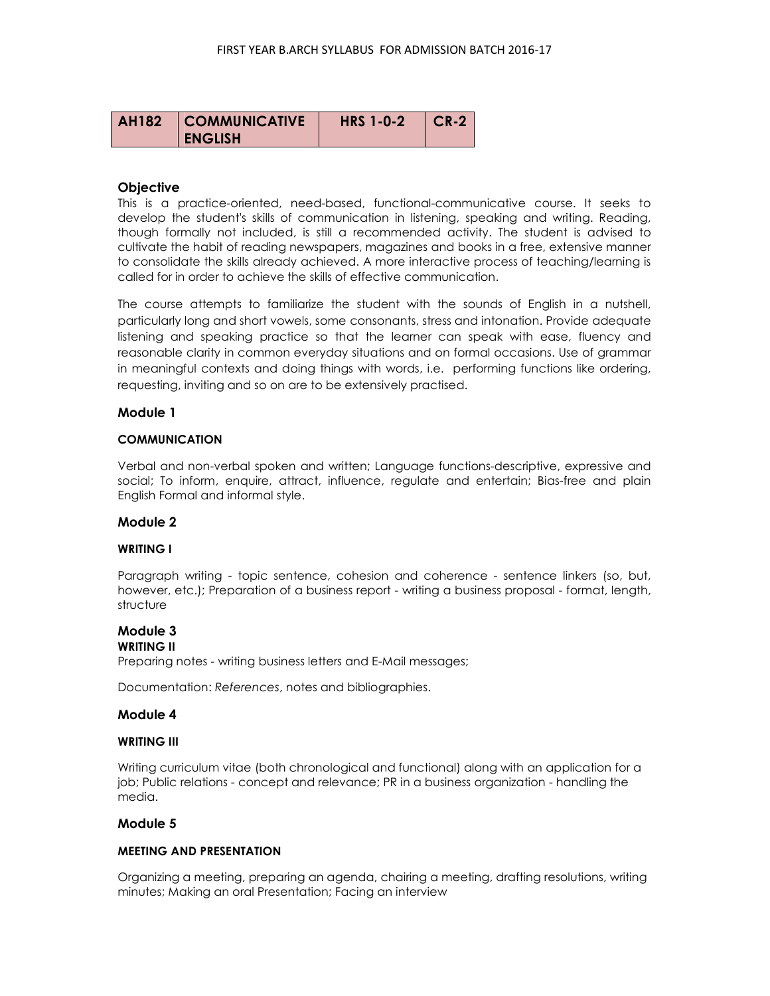| <b>AH182</b> | <b>COMMUNICATIVE</b> | <b>HRS 1-0-2</b> | CR-2 |
|--------------|----------------------|------------------|------|
|              | <b>ENGLISH</b>       |                  |      |

### **Objective**

This is a practice-oriented, need-based, functional-communicative course. It seeks to develop the student's skills of communication in listening, speaking and writing. Reading, though formally not included, is still a recommended activity. The student is advised to cultivate the habit of reading newspapers, magazines and books in a free, extensive manner to consolidate the skills already achieved. A more interactive process of teaching/learning is called for in order to achieve the skills of effective communication.

The course attempts to familiarize the student with the sounds of English in a nutshell, particularly long and short vowels, some consonants, stress and intonation. Provide adequate listening and speaking practice so that the learner can speak with ease, fluency and reasonable clarity in common everyday situations and on formal occasions. Use of grammar in meaningful contexts and doing things with words, i.e. performing functions like ordering, requesting, inviting and so on are to be extensively practised.

### **Module 1**

#### **COMMUNICATION**

Verbal and non-verbal spoken and written; Language functions-descriptive, expressive and social; To inform, enquire, attract, influence, regulate and entertain; Bias-free and plain English Formal and informal style.

### **Module 2**

#### **WRITING I**

Paragraph writing - topic sentence, cohesion and coherence - sentence linkers (so, but, however, etc.); Preparation of a business report - writing a business proposal - format, length, structure

# **Module 3**

### **WRITING II**

Preparing notes - writing business letters and E-Mail messages;

Documentation: *References*, notes and bibliographies.

#### **Module 4**

### **WRITING III**

Writing curriculum vitae (both chronological and functional) along with an application for a job; Public relations - concept and relevance; PR in a business organization - handling the media.

### **Module 5**

#### **MEETING AND PRESENTATION**

Organizing a meeting, preparing an agenda, chairing a meeting, drafting resolutions, writing minutes; Making an oral Presentation; Facing an interview